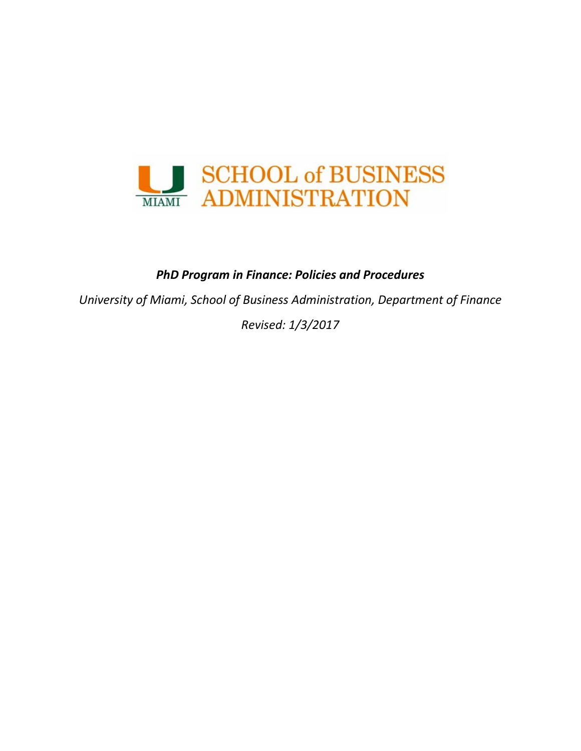

# *PhD Program in Finance: Policies and Procedures*

*University of Miami, School of Business Administration, Department of Finance Revised: 1/3/2017*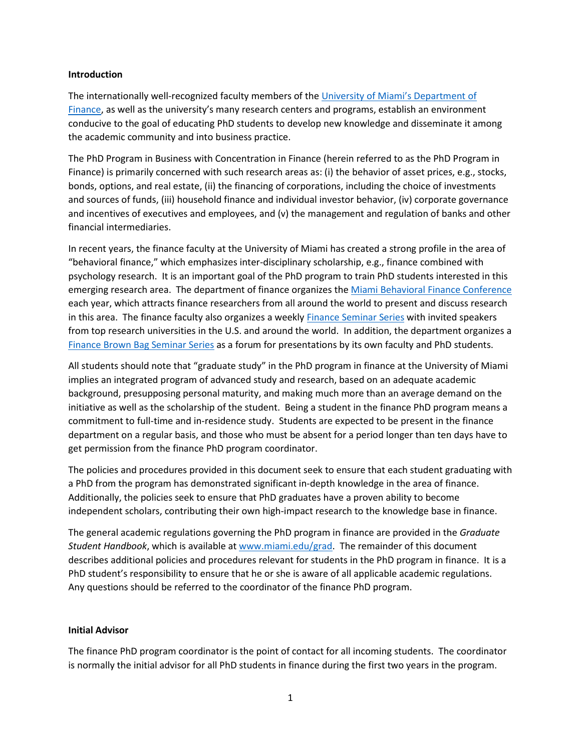#### **Introduction**

The internationally well-recognized faculty members of the [University of Miami's Department of](http://www.bus.miami.edu/faculty-and-research/faculty-directory/finance/index.html)  [Finance,](http://www.bus.miami.edu/faculty-and-research/faculty-directory/finance/index.html) as well as the university's many research centers and programs, establish an environment conducive to the goal of educating PhD students to develop new knowledge and disseminate it among the academic community and into business practice.

The PhD Program in Business with Concentration in Finance (herein referred to as the PhD Program in Finance) is primarily concerned with such research areas as: (i) the behavior of asset prices, e.g., stocks, bonds, options, and real estate, (ii) the financing of corporations, including the choice of investments and sources of funds, (iii) household finance and individual investor behavior, (iv) corporate governance and incentives of executives and employees, and (v) the management and regulation of banks and other financial intermediaries.

In recent years, the finance faculty at the University of Miami has created a strong profile in the area of "behavioral finance," which emphasizes inter-disciplinary scholarship, e.g., finance combined with psychology research. It is an important goal of the PhD program to train PhD students interested in this emerging research area. The department of finance organizes the [Miami Behavioral Finance Conference](http://bus.miami.edu/umbfc/) each year, which attracts finance researchers from all around the world to present and discuss research in this area. The finance faculty also organizes a weekly [Finance Seminar Series](http://www.bus.miami.edu/faculty-and-research/conferences-and-seminars/finance-seminars/index.html) with invited speakers from top research universities in the U.S. and around the world. In addition, the department organizes a [Finance Brown Bag Seminar Series](http://www.bus.miami.edu/faculty-and-research/academic-departments/finance/brown-bag/index.html) as a forum for presentations by its own faculty and PhD students.

All students should note that "graduate study" in the PhD program in finance at the University of Miami implies an integrated program of advanced study and research, based on an adequate academic background, presupposing personal maturity, and making much more than an average demand on the initiative as well as the scholarship of the student. Being a student in the finance PhD program means a commitment to full-time and in-residence study. Students are expected to be present in the finance department on a regular basis, and those who must be absent for a period longer than ten days have to get permission from the finance PhD program coordinator.

The policies and procedures provided in this document seek to ensure that each student graduating with a PhD from the program has demonstrated significant in-depth knowledge in the area of finance. Additionally, the policies seek to ensure that PhD graduates have a proven ability to become independent scholars, contributing their own high-impact research to the knowledge base in finance.

The general academic regulations governing the PhD program in finance are provided in the *Graduate Student Handbook*, which is available at [www.miami.edu/grad.](http://www.miami.edu/grad) The remainder of this document describes additional policies and procedures relevant for students in the PhD program in finance. It is a PhD student's responsibility to ensure that he or she is aware of all applicable academic regulations. Any questions should be referred to the coordinator of the finance PhD program.

#### **Initial Advisor**

The finance PhD program coordinator is the point of contact for all incoming students. The coordinator is normally the initial advisor for all PhD students in finance during the first two years in the program.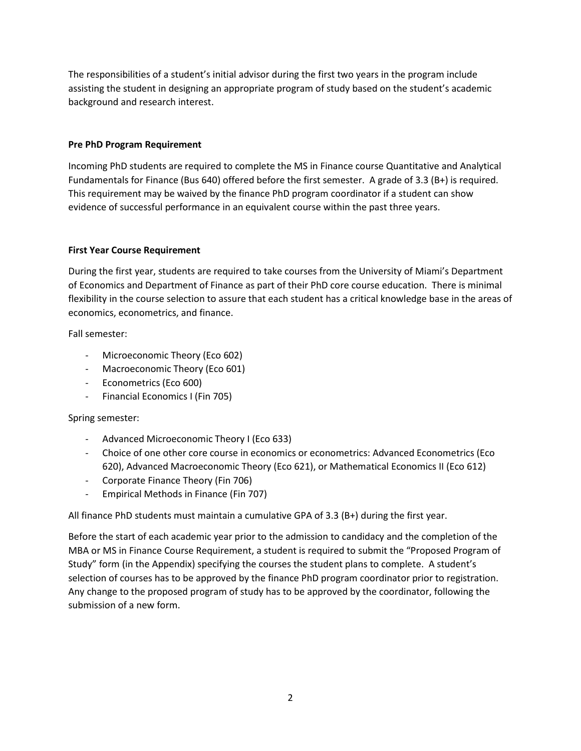The responsibilities of a student's initial advisor during the first two years in the program include assisting the student in designing an appropriate program of study based on the student's academic background and research interest.

#### **Pre PhD Program Requirement**

Incoming PhD students are required to complete the MS in Finance course Quantitative and Analytical Fundamentals for Finance (Bus 640) offered before the first semester. A grade of 3.3 (B+) is required. This requirement may be waived by the finance PhD program coordinator if a student can show evidence of successful performance in an equivalent course within the past three years.

#### **First Year Course Requirement**

During the first year, students are required to take courses from the University of Miami's Department of Economics and Department of Finance as part of their PhD core course education. There is minimal flexibility in the course selection to assure that each student has a critical knowledge base in the areas of economics, econometrics, and finance.

Fall semester:

- Microeconomic Theory (Eco 602)
- Macroeconomic Theory (Eco 601)
- Econometrics (Eco 600)
- Financial Economics I (Fin 705)

## Spring semester:

- Advanced Microeconomic Theory I (Eco 633)
- Choice of one other core course in economics or econometrics: Advanced Econometrics (Eco 620), Advanced Macroeconomic Theory (Eco 621), or Mathematical Economics II (Eco 612)
- Corporate Finance Theory (Fin 706)
- Empirical Methods in Finance (Fin 707)

All finance PhD students must maintain a cumulative GPA of 3.3 (B+) during the first year.

Before the start of each academic year prior to the admission to candidacy and the completion of the MBA or MS in Finance Course Requirement, a student is required to submit the "Proposed Program of Study" form (in the Appendix) specifying the courses the student plans to complete. A student's selection of courses has to be approved by the finance PhD program coordinator prior to registration. Any change to the proposed program of study has to be approved by the coordinator, following the submission of a new form.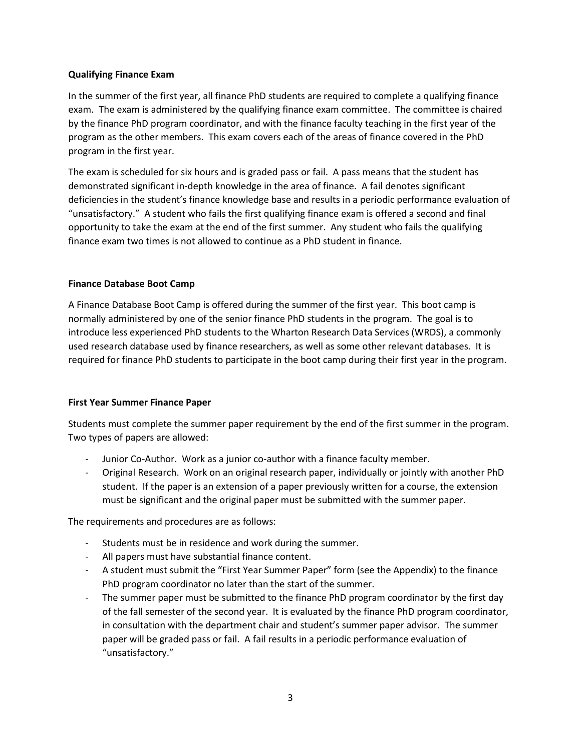#### **Qualifying Finance Exam**

In the summer of the first year, all finance PhD students are required to complete a qualifying finance exam. The exam is administered by the qualifying finance exam committee. The committee is chaired by the finance PhD program coordinator, and with the finance faculty teaching in the first year of the program as the other members. This exam covers each of the areas of finance covered in the PhD program in the first year.

The exam is scheduled for six hours and is graded pass or fail. A pass means that the student has demonstrated significant in-depth knowledge in the area of finance. A fail denotes significant deficiencies in the student's finance knowledge base and results in a periodic performance evaluation of "unsatisfactory." A student who fails the first qualifying finance exam is offered a second and final opportunity to take the exam at the end of the first summer. Any student who fails the qualifying finance exam two times is not allowed to continue as a PhD student in finance.

#### **Finance Database Boot Camp**

A Finance Database Boot Camp is offered during the summer of the first year. This boot camp is normally administered by one of the senior finance PhD students in the program. The goal is to introduce less experienced PhD students to the Wharton Research Data Services (WRDS), a commonly used research database used by finance researchers, as well as some other relevant databases. It is required for finance PhD students to participate in the boot camp during their first year in the program.

#### **First Year Summer Finance Paper**

Students must complete the summer paper requirement by the end of the first summer in the program. Two types of papers are allowed:

- Junior Co-Author. Work as a junior co-author with a finance faculty member.
- Original Research. Work on an original research paper, individually or jointly with another PhD student. If the paper is an extension of a paper previously written for a course, the extension must be significant and the original paper must be submitted with the summer paper.

The requirements and procedures are as follows:

- Students must be in residence and work during the summer.
- All papers must have substantial finance content.
- A student must submit the "First Year Summer Paper" form (see the Appendix) to the finance PhD program coordinator no later than the start of the summer.
- The summer paper must be submitted to the finance PhD program coordinator by the first day of the fall semester of the second year. It is evaluated by the finance PhD program coordinator, in consultation with the department chair and student's summer paper advisor. The summer paper will be graded pass or fail. A fail results in a periodic performance evaluation of "unsatisfactory."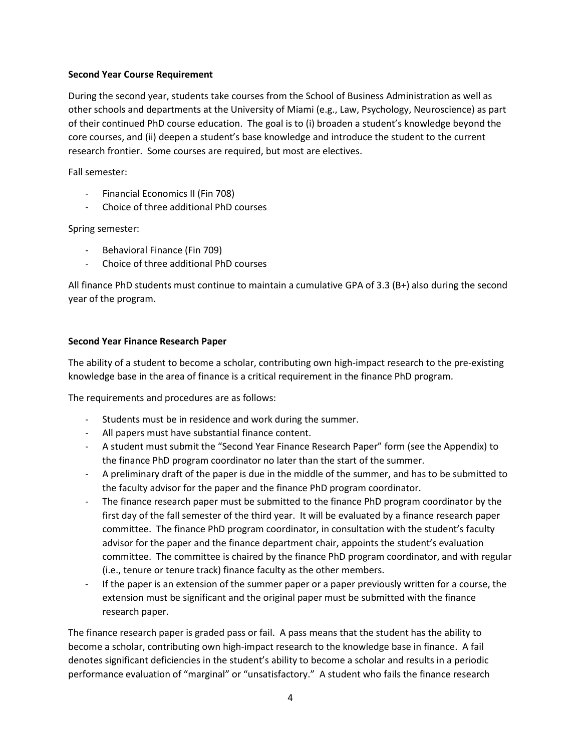#### **Second Year Course Requirement**

During the second year, students take courses from the School of Business Administration as well as other schools and departments at the University of Miami (e.g., Law, Psychology, Neuroscience) as part of their continued PhD course education. The goal is to (i) broaden a student's knowledge beyond the core courses, and (ii) deepen a student's base knowledge and introduce the student to the current research frontier. Some courses are required, but most are electives.

Fall semester:

- Financial Economics II (Fin 708)
- Choice of three additional PhD courses

Spring semester:

- Behavioral Finance (Fin 709)
- Choice of three additional PhD courses

All finance PhD students must continue to maintain a cumulative GPA of 3.3 (B+) also during the second year of the program.

#### **Second Year Finance Research Paper**

The ability of a student to become a scholar, contributing own high-impact research to the pre-existing knowledge base in the area of finance is a critical requirement in the finance PhD program.

The requirements and procedures are as follows:

- Students must be in residence and work during the summer.
- All papers must have substantial finance content.
- A student must submit the "Second Year Finance Research Paper" form (see the Appendix) to the finance PhD program coordinator no later than the start of the summer.
- A preliminary draft of the paper is due in the middle of the summer, and has to be submitted to the faculty advisor for the paper and the finance PhD program coordinator.
- The finance research paper must be submitted to the finance PhD program coordinator by the first day of the fall semester of the third year. It will be evaluated by a finance research paper committee. The finance PhD program coordinator, in consultation with the student's faculty advisor for the paper and the finance department chair, appoints the student's evaluation committee. The committee is chaired by the finance PhD program coordinator, and with regular (i.e., tenure or tenure track) finance faculty as the other members.
- If the paper is an extension of the summer paper or a paper previously written for a course, the extension must be significant and the original paper must be submitted with the finance research paper.

The finance research paper is graded pass or fail. A pass means that the student has the ability to become a scholar, contributing own high-impact research to the knowledge base in finance. A fail denotes significant deficiencies in the student's ability to become a scholar and results in a periodic performance evaluation of "marginal" or "unsatisfactory." A student who fails the finance research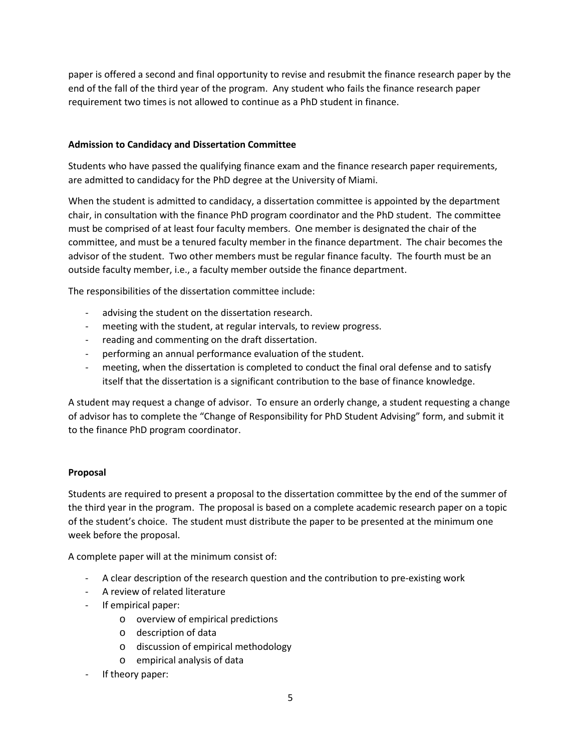paper is offered a second and final opportunity to revise and resubmit the finance research paper by the end of the fall of the third year of the program. Any student who fails the finance research paper requirement two times is not allowed to continue as a PhD student in finance.

#### **Admission to Candidacy and Dissertation Committee**

Students who have passed the qualifying finance exam and the finance research paper requirements, are admitted to candidacy for the PhD degree at the University of Miami.

When the student is admitted to candidacy, a dissertation committee is appointed by the department chair, in consultation with the finance PhD program coordinator and the PhD student. The committee must be comprised of at least four faculty members. One member is designated the chair of the committee, and must be a tenured faculty member in the finance department. The chair becomes the advisor of the student. Two other members must be regular finance faculty. The fourth must be an outside faculty member, i.e., a faculty member outside the finance department.

The responsibilities of the dissertation committee include:

- advising the student on the dissertation research.
- meeting with the student, at regular intervals, to review progress.
- reading and commenting on the draft dissertation.
- performing an annual performance evaluation of the student.
- meeting, when the dissertation is completed to conduct the final oral defense and to satisfy itself that the dissertation is a significant contribution to the base of finance knowledge.

A student may request a change of advisor. To ensure an orderly change, a student requesting a change of advisor has to complete the "Change of Responsibility for PhD Student Advising" form, and submit it to the finance PhD program coordinator.

#### **Proposal**

Students are required to present a proposal to the dissertation committee by the end of the summer of the third year in the program. The proposal is based on a complete academic research paper on a topic of the student's choice. The student must distribute the paper to be presented at the minimum one week before the proposal.

A complete paper will at the minimum consist of:

- A clear description of the research question and the contribution to pre-existing work
- A review of related literature
- If empirical paper:
	- o overview of empirical predictions
	- o description of data
	- o discussion of empirical methodology
	- o empirical analysis of data
- If theory paper: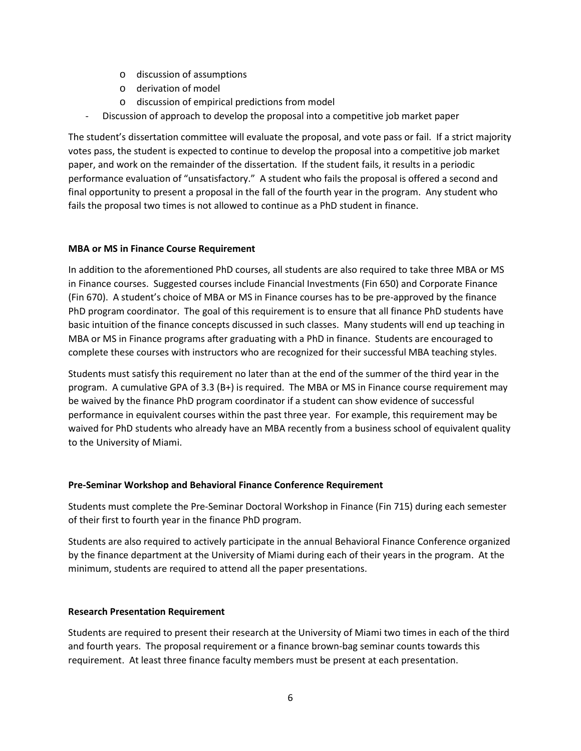- o discussion of assumptions
- o derivation of model
- o discussion of empirical predictions from model
- Discussion of approach to develop the proposal into a competitive job market paper

The student's dissertation committee will evaluate the proposal, and vote pass or fail. If a strict majority votes pass, the student is expected to continue to develop the proposal into a competitive job market paper, and work on the remainder of the dissertation. If the student fails, it results in a periodic performance evaluation of "unsatisfactory." A student who fails the proposal is offered a second and final opportunity to present a proposal in the fall of the fourth year in the program. Any student who fails the proposal two times is not allowed to continue as a PhD student in finance.

#### **MBA or MS in Finance Course Requirement**

In addition to the aforementioned PhD courses, all students are also required to take three MBA or MS in Finance courses. Suggested courses include Financial Investments (Fin 650) and Corporate Finance (Fin 670). A student's choice of MBA or MS in Finance courses has to be pre-approved by the finance PhD program coordinator. The goal of this requirement is to ensure that all finance PhD students have basic intuition of the finance concepts discussed in such classes. Many students will end up teaching in MBA or MS in Finance programs after graduating with a PhD in finance. Students are encouraged to complete these courses with instructors who are recognized for their successful MBA teaching styles.

Students must satisfy this requirement no later than at the end of the summer of the third year in the program. A cumulative GPA of 3.3 (B+) is required. The MBA or MS in Finance course requirement may be waived by the finance PhD program coordinator if a student can show evidence of successful performance in equivalent courses within the past three year. For example, this requirement may be waived for PhD students who already have an MBA recently from a business school of equivalent quality to the University of Miami.

## **Pre-Seminar Workshop and Behavioral Finance Conference Requirement**

Students must complete the Pre-Seminar Doctoral Workshop in Finance (Fin 715) during each semester of their first to fourth year in the finance PhD program.

Students are also required to actively participate in the annual Behavioral Finance Conference organized by the finance department at the University of Miami during each of their years in the program. At the minimum, students are required to attend all the paper presentations.

## **Research Presentation Requirement**

Students are required to present their research at the University of Miami two times in each of the third and fourth years. The proposal requirement or a finance brown-bag seminar counts towards this requirement. At least three finance faculty members must be present at each presentation.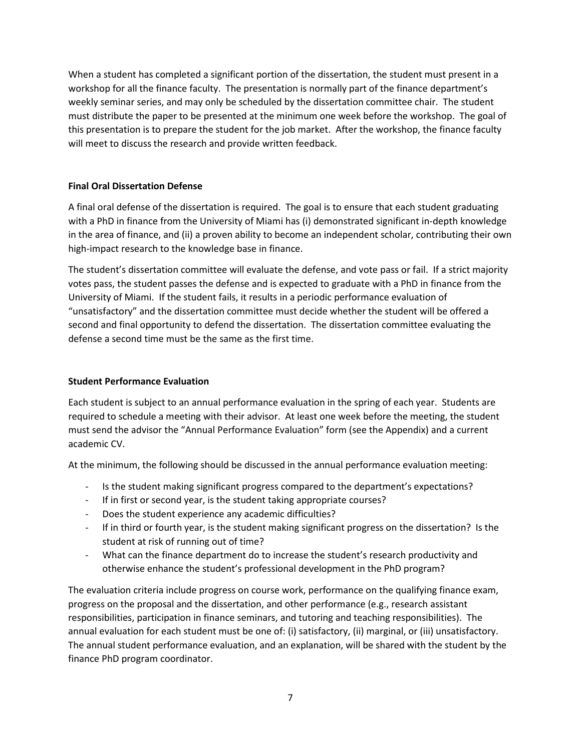When a student has completed a significant portion of the dissertation, the student must present in a workshop for all the finance faculty. The presentation is normally part of the finance department's weekly seminar series, and may only be scheduled by the dissertation committee chair. The student must distribute the paper to be presented at the minimum one week before the workshop. The goal of this presentation is to prepare the student for the job market. After the workshop, the finance faculty will meet to discuss the research and provide written feedback.

## **Final Oral Dissertation Defense**

A final oral defense of the dissertation is required. The goal is to ensure that each student graduating with a PhD in finance from the University of Miami has (i) demonstrated significant in-depth knowledge in the area of finance, and (ii) a proven ability to become an independent scholar, contributing their own high-impact research to the knowledge base in finance.

The student's dissertation committee will evaluate the defense, and vote pass or fail. If a strict majority votes pass, the student passes the defense and is expected to graduate with a PhD in finance from the University of Miami. If the student fails, it results in a periodic performance evaluation of "unsatisfactory" and the dissertation committee must decide whether the student will be offered a second and final opportunity to defend the dissertation. The dissertation committee evaluating the defense a second time must be the same as the first time.

## **Student Performance Evaluation**

Each student is subject to an annual performance evaluation in the spring of each year. Students are required to schedule a meeting with their advisor. At least one week before the meeting, the student must send the advisor the "Annual Performance Evaluation" form (see the Appendix) and a current academic CV.

At the minimum, the following should be discussed in the annual performance evaluation meeting:

- Is the student making significant progress compared to the department's expectations?
- If in first or second year, is the student taking appropriate courses?
- Does the student experience any academic difficulties?
- If in third or fourth year, is the student making significant progress on the dissertation? Is the student at risk of running out of time?
- What can the finance department do to increase the student's research productivity and otherwise enhance the student's professional development in the PhD program?

The evaluation criteria include progress on course work, performance on the qualifying finance exam, progress on the proposal and the dissertation, and other performance (e.g., research assistant responsibilities, participation in finance seminars, and tutoring and teaching responsibilities). The annual evaluation for each student must be one of: (i) satisfactory, (ii) marginal, or (iii) unsatisfactory. The annual student performance evaluation, and an explanation, will be shared with the student by the finance PhD program coordinator.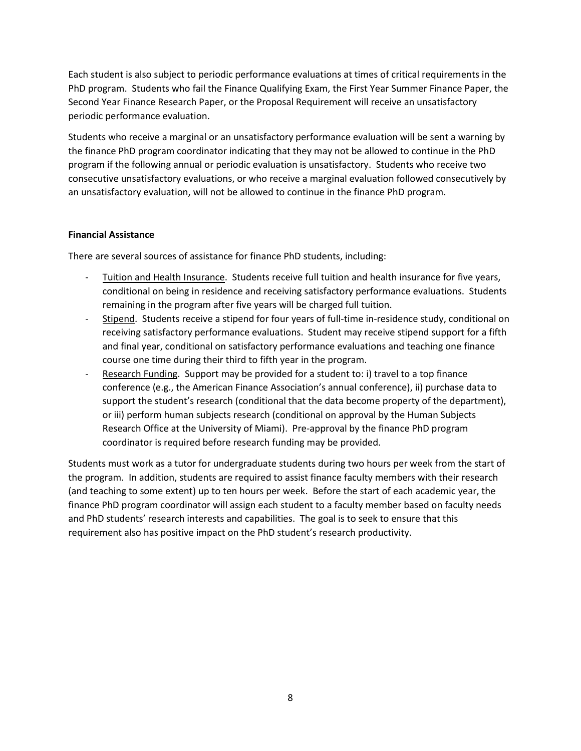Each student is also subject to periodic performance evaluations at times of critical requirements in the PhD program. Students who fail the Finance Qualifying Exam, the First Year Summer Finance Paper, the Second Year Finance Research Paper, or the Proposal Requirement will receive an unsatisfactory periodic performance evaluation.

Students who receive a marginal or an unsatisfactory performance evaluation will be sent a warning by the finance PhD program coordinator indicating that they may not be allowed to continue in the PhD program if the following annual or periodic evaluation is unsatisfactory. Students who receive two consecutive unsatisfactory evaluations, or who receive a marginal evaluation followed consecutively by an unsatisfactory evaluation, will not be allowed to continue in the finance PhD program.

#### **Financial Assistance**

There are several sources of assistance for finance PhD students, including:

- Tuition and Health Insurance. Students receive full tuition and health insurance for five years, conditional on being in residence and receiving satisfactory performance evaluations. Students remaining in the program after five years will be charged full tuition.
- Stipend. Students receive a stipend for four years of full-time in-residence study, conditional on receiving satisfactory performance evaluations. Student may receive stipend support for a fifth and final year, conditional on satisfactory performance evaluations and teaching one finance course one time during their third to fifth year in the program.
- Research Funding. Support may be provided for a student to: i) travel to a top finance conference (e.g., the American Finance Association's annual conference), ii) purchase data to support the student's research (conditional that the data become property of the department), or iii) perform human subjects research (conditional on approval by the Human Subjects Research Office at the University of Miami). Pre-approval by the finance PhD program coordinator is required before research funding may be provided.

Students must work as a tutor for undergraduate students during two hours per week from the start of the program. In addition, students are required to assist finance faculty members with their research (and teaching to some extent) up to ten hours per week. Before the start of each academic year, the finance PhD program coordinator will assign each student to a faculty member based on faculty needs and PhD students' research interests and capabilities. The goal is to seek to ensure that this requirement also has positive impact on the PhD student's research productivity.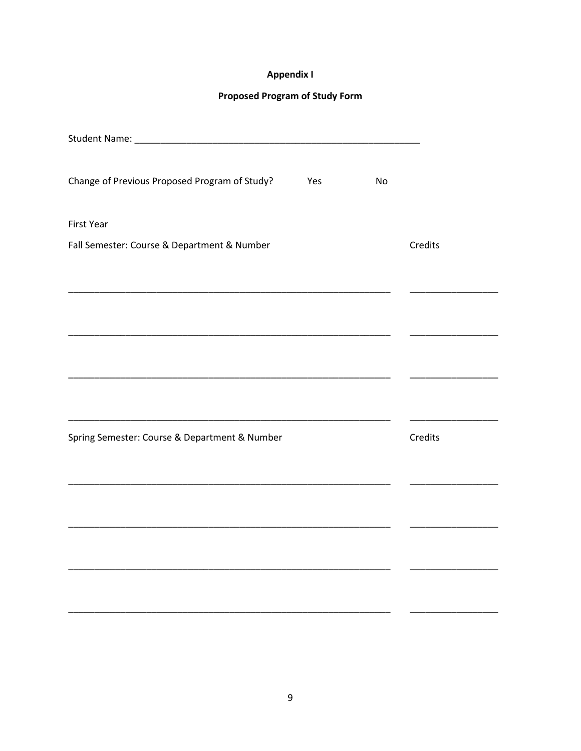# **Appendix I**

# **Proposed Program of Study Form**

| Change of Previous Proposed Program of Study?<br>Yes | No |         |
|------------------------------------------------------|----|---------|
| <b>First Year</b>                                    |    |         |
| Fall Semester: Course & Department & Number          |    | Credits |
|                                                      |    |         |
|                                                      |    |         |
|                                                      |    |         |
|                                                      |    |         |
|                                                      |    |         |
| Spring Semester: Course & Department & Number        |    | Credits |
|                                                      |    |         |
|                                                      |    |         |
|                                                      |    |         |
|                                                      |    |         |
|                                                      |    |         |
|                                                      |    |         |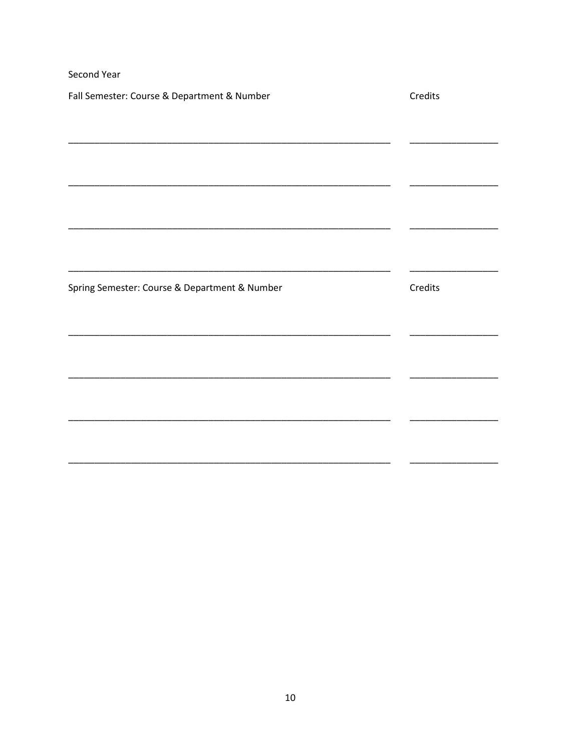| Second Year                                   |         |
|-----------------------------------------------|---------|
| Fall Semester: Course & Department & Number   | Credits |
|                                               |         |
|                                               |         |
| Spring Semester: Course & Department & Number | Credits |
|                                               |         |
|                                               |         |
|                                               |         |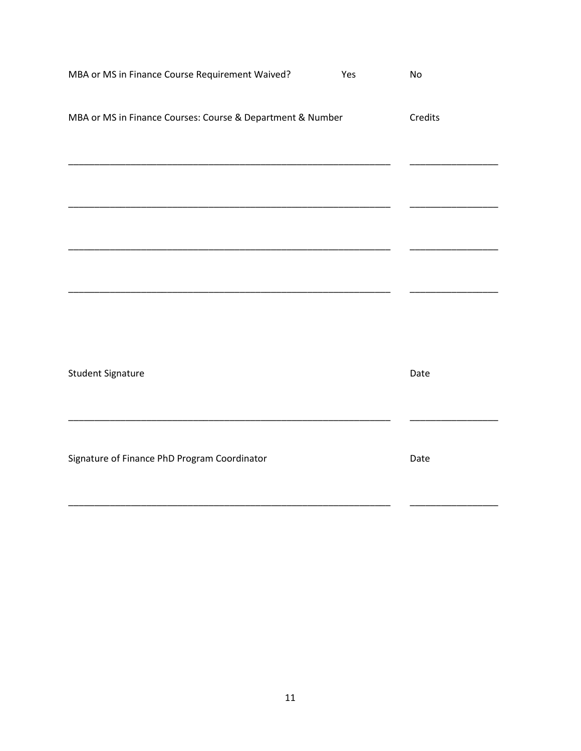| MBA or MS in Finance Course Requirement Waived?            | Yes | No      |
|------------------------------------------------------------|-----|---------|
| MBA or MS in Finance Courses: Course & Department & Number |     | Credits |
|                                                            |     |         |
|                                                            |     |         |
| <b>Student Signature</b>                                   |     | Date    |
| Signature of Finance PhD Program Coordinator               |     | Date    |
|                                                            |     |         |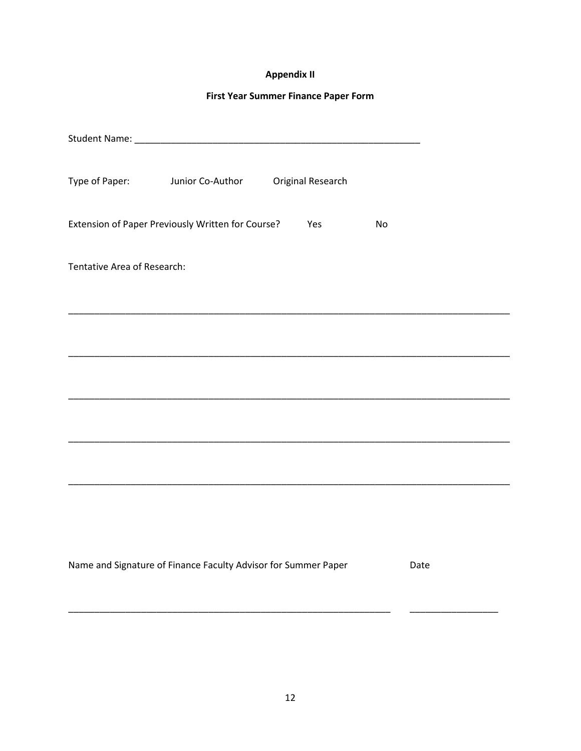# **Appendix II**

## **First Year Summer Finance Paper Form**

|                             | Type of Paper: Junior Co-Author Original Research              |     |    |      |
|-----------------------------|----------------------------------------------------------------|-----|----|------|
|                             | Extension of Paper Previously Written for Course?              | Yes | No |      |
| Tentative Area of Research: |                                                                |     |    |      |
|                             |                                                                |     |    |      |
|                             |                                                                |     |    |      |
|                             |                                                                |     |    |      |
|                             |                                                                |     |    |      |
|                             |                                                                |     |    |      |
|                             |                                                                |     |    |      |
|                             | Name and Signature of Finance Faculty Advisor for Summer Paper |     |    | Date |
|                             |                                                                |     |    |      |
|                             |                                                                |     |    |      |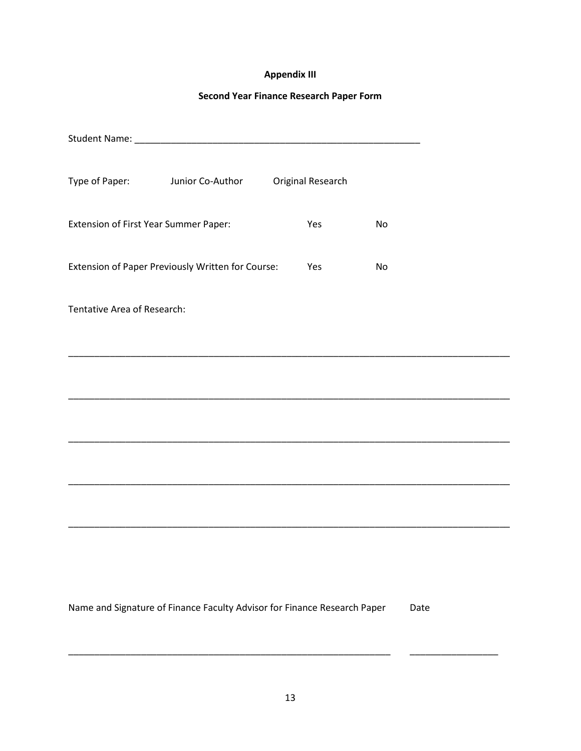# **Appendix III**

## **Second Year Finance Research Paper Form**

|                                       | Type of Paper: Junior Co-Author                   | Original Research |    |  |
|---------------------------------------|---------------------------------------------------|-------------------|----|--|
| Extension of First Year Summer Paper: |                                                   | Yes               | No |  |
|                                       | Extension of Paper Previously Written for Course: | Yes               | No |  |
| Tentative Area of Research:           |                                                   |                   |    |  |
|                                       |                                                   |                   |    |  |
|                                       |                                                   |                   |    |  |
|                                       |                                                   |                   |    |  |
|                                       |                                                   |                   |    |  |
|                                       |                                                   |                   |    |  |
|                                       |                                                   |                   |    |  |

Name and Signature of Finance Faculty Advisor for Finance Research Paper Date

\_\_\_\_\_\_\_\_\_\_\_\_\_\_\_\_\_\_\_\_\_\_\_\_\_\_\_\_\_\_\_\_\_\_\_\_\_\_\_\_\_\_\_\_\_\_\_\_\_\_\_\_\_\_\_\_\_\_\_\_\_\_ \_\_\_\_\_\_\_\_\_\_\_\_\_\_\_\_\_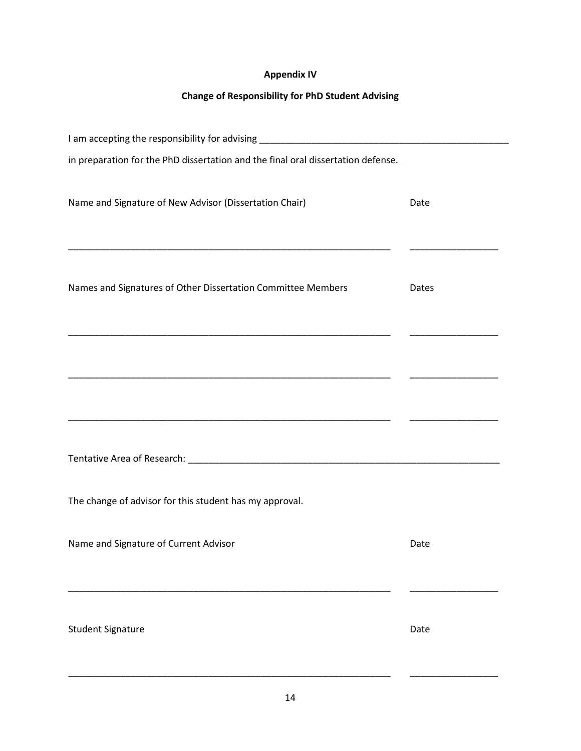# **Appendix IV**

# **Change of Responsibility for PhD Student Advising**

| in preparation for the PhD dissertation and the final oral dissertation defense. |       |
|----------------------------------------------------------------------------------|-------|
| Name and Signature of New Advisor (Dissertation Chair)                           | Date  |
| Names and Signatures of Other Dissertation Committee Members                     | Dates |
| <u> 1989 - Johann Stoff, amerikansk politiker (d. 1989)</u>                      |       |
|                                                                                  |       |
| The change of advisor for this student has my approval.                          |       |
| Name and Signature of Current Advisor                                            | Date  |
| <b>Student Signature</b>                                                         | Date  |

\_\_\_\_\_\_\_\_\_\_\_\_\_\_\_\_\_\_\_\_\_\_\_\_\_\_\_\_\_\_\_\_\_\_\_\_\_\_\_\_\_\_\_\_\_\_\_\_\_\_\_\_\_\_\_\_\_\_\_\_\_\_ \_\_\_\_\_\_\_\_\_\_\_\_\_\_\_\_\_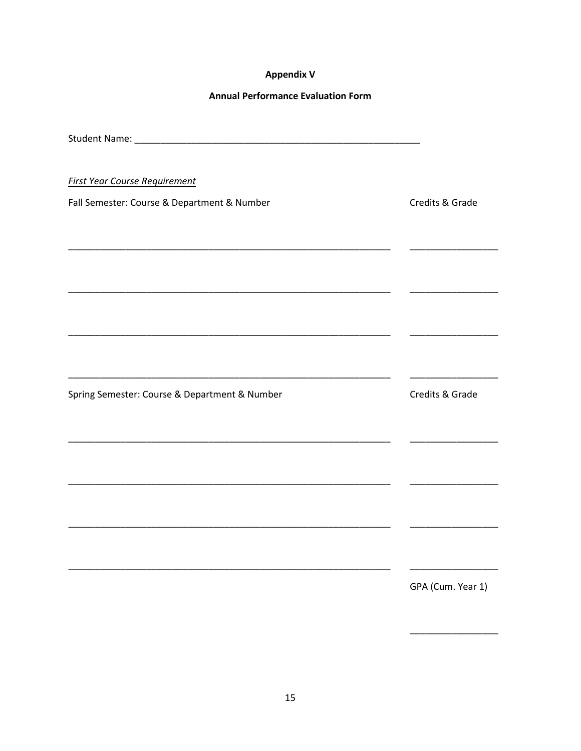# **Appendix V**

# **Annual Performance Evaluation Form**

| <b>First Year Course Requirement</b>          |                   |
|-----------------------------------------------|-------------------|
| Fall Semester: Course & Department & Number   | Credits & Grade   |
|                                               |                   |
|                                               |                   |
|                                               |                   |
|                                               |                   |
|                                               |                   |
|                                               |                   |
| Spring Semester: Course & Department & Number | Credits & Grade   |
|                                               |                   |
|                                               |                   |
|                                               |                   |
|                                               |                   |
|                                               |                   |
|                                               |                   |
|                                               | GPA (Cum. Year 1) |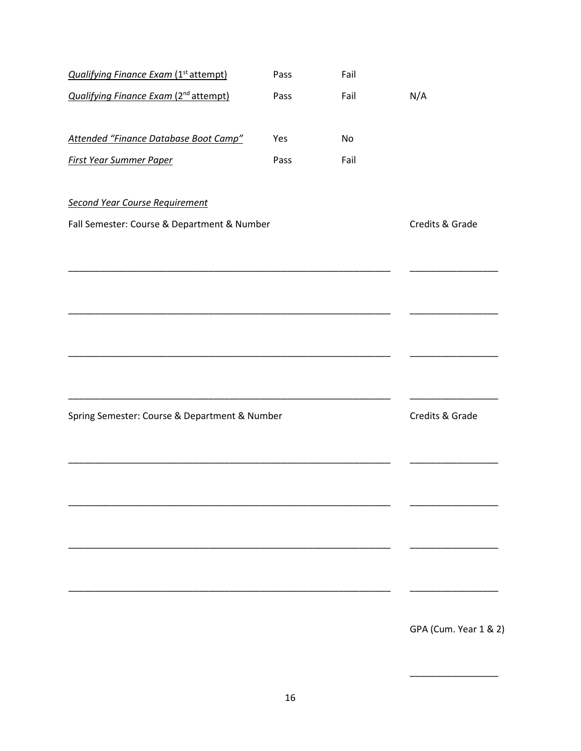| <b>Qualifying Finance Exam (1st attempt)</b>      | Pass | Fail |                       |
|---------------------------------------------------|------|------|-----------------------|
| Qualifying Finance Exam (2 <sup>nd</sup> attempt) | Pass | Fail | N/A                   |
|                                                   |      |      |                       |
| Attended "Finance Database Boot Camp"             | Yes  | No   |                       |
| <b>First Year Summer Paper</b>                    | Pass | Fail |                       |
| <b>Second Year Course Requirement</b>             |      |      |                       |
| Fall Semester: Course & Department & Number       |      |      | Credits & Grade       |
|                                                   |      |      |                       |
|                                                   |      |      |                       |
|                                                   |      |      |                       |
|                                                   |      |      |                       |
|                                                   |      |      |                       |
|                                                   |      |      |                       |
| Spring Semester: Course & Department & Number     |      |      | Credits & Grade       |
|                                                   |      |      |                       |
|                                                   |      |      |                       |
|                                                   |      |      |                       |
|                                                   |      |      |                       |
|                                                   |      |      |                       |
|                                                   |      |      |                       |
|                                                   |      |      |                       |
|                                                   |      |      | GPA (Cum. Year 1 & 2) |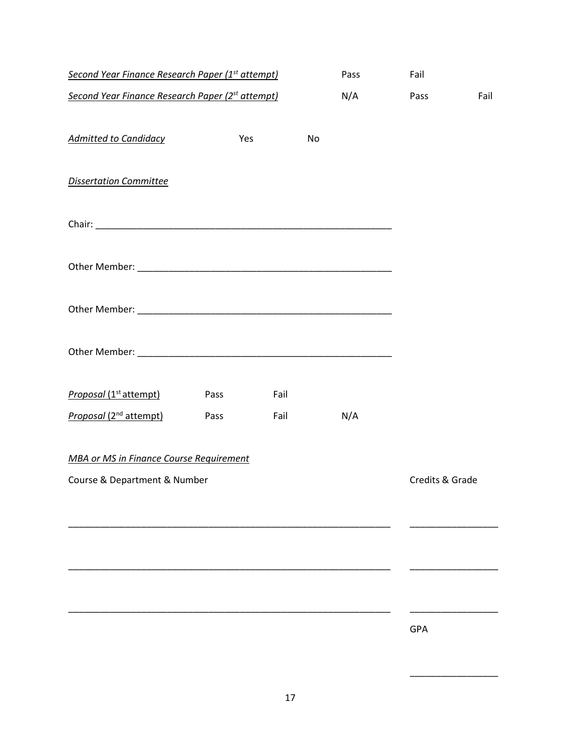| Second Year Finance Research Paper (1 <sup>st</sup> attempt) |    | Pass | Fail            |      |
|--------------------------------------------------------------|----|------|-----------------|------|
| Second Year Finance Research Paper (2 <sup>st</sup> attempt) |    | N/A  | Pass            | Fail |
|                                                              |    |      |                 |      |
| Yes                                                          | No |      |                 |      |
|                                                              |    |      |                 |      |
|                                                              |    |      |                 |      |
|                                                              |    |      |                 |      |
|                                                              |    |      |                 |      |
|                                                              |    |      |                 |      |
|                                                              |    |      |                 |      |
|                                                              |    |      |                 |      |
|                                                              |    |      |                 |      |
|                                                              |    |      |                 |      |
|                                                              |    |      |                 |      |
| Pass<br>Fail                                                 |    |      |                 |      |
| Fail                                                         |    | N/A  |                 |      |
|                                                              |    |      |                 |      |
| <b>MBA or MS in Finance Course Requirement</b>               |    |      |                 |      |
|                                                              |    |      | Credits & Grade |      |
|                                                              |    |      |                 |      |
|                                                              |    |      |                 |      |
|                                                              |    |      |                 |      |
|                                                              |    |      |                 |      |
|                                                              |    |      |                 |      |
|                                                              |    |      | GPA             |      |
|                                                              |    |      |                 |      |
|                                                              |    |      |                 |      |

\_\_\_\_\_\_\_\_\_\_\_\_\_\_\_\_\_